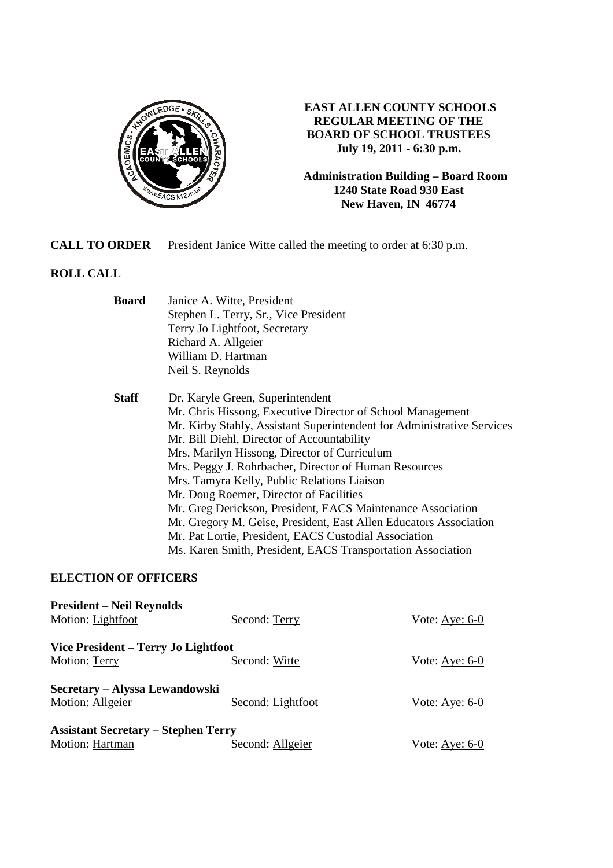

## **EAST ALLEN COUNTY SCHOOLS REGULAR MEETING OF THE BOARD OF SCHOOL TRUSTEES July 19, 2011 - 6:30 p.m.**

**Administration Building – Board Room 1240 State Road 930 East New Haven, IN 46774**

**CALL TO ORDER** President Janice Witte called the meeting to order at 6:30 p.m.

# **ROLL CALL**

| <b>Board</b>                        | Janice A. Witte, President                                             |                                     |
|-------------------------------------|------------------------------------------------------------------------|-------------------------------------|
|                                     | Stephen L. Terry, Sr., Vice President                                  |                                     |
|                                     | Terry Jo Lightfoot, Secretary                                          |                                     |
|                                     | Richard A. Allgeier                                                    |                                     |
|                                     | William D. Hartman                                                     |                                     |
|                                     | Neil S. Reynolds                                                       |                                     |
| <b>Staff</b>                        | Dr. Karyle Green, Superintendent                                       |                                     |
|                                     | Mr. Chris Hissong, Executive Director of School Management             |                                     |
|                                     | Mr. Kirby Stahly, Assistant Superintendent for Administrative Services |                                     |
|                                     | Mr. Bill Diehl, Director of Accountability                             |                                     |
|                                     | Mrs. Marilyn Hissong, Director of Curriculum                           |                                     |
|                                     | Mrs. Peggy J. Rohrbacher, Director of Human Resources                  |                                     |
|                                     | Mrs. Tamyra Kelly, Public Relations Liaison                            |                                     |
|                                     | Mr. Doug Roemer, Director of Facilities                                |                                     |
|                                     | Mr. Greg Derickson, President, EACS Maintenance Association            |                                     |
|                                     | Mr. Gregory M. Geise, President, East Allen Educators Association      |                                     |
|                                     | Mr. Pat Lortie, President, EACS Custodial Association                  |                                     |
|                                     | Ms. Karen Smith, President, EACS Transportation Association            |                                     |
| <b>ELECTION OF OFFICERS</b>         |                                                                        |                                     |
| <b>President – Neil Reynolds</b>    |                                                                        |                                     |
| Motion: Lightfoot                   | Second: Terry                                                          | Vote: $\underline{\text{Aye: 6-0}}$ |
| Vice President – Terry Jo Lightfoot |                                                                        |                                     |
| Motion: Terry                       | Second: Witte                                                          | Vote: Aye: $6-0$                    |
| Secretary – Alyssa Lewandowski      |                                                                        |                                     |

**Assistant Secretary – Stephen Terry**

Motion: Hartman Second: Allgeier Vote: Aye: 6-0

Motion: Allgeier Second: Lightfoot Vote: Aye: 6-0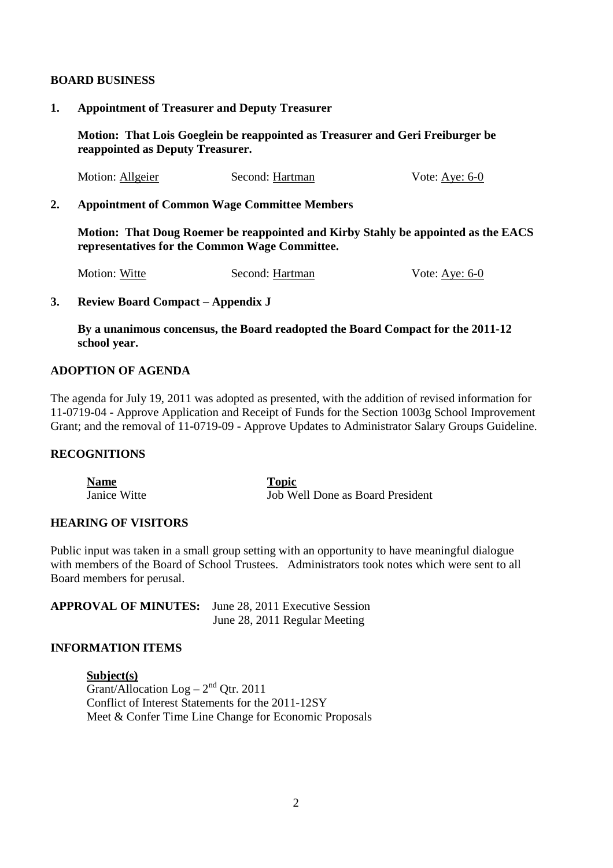#### **BOARD BUSINESS**

#### **1. Appointment of Treasurer and Deputy Treasurer**

**Motion: That Lois Goeglein be reappointed as Treasurer and Geri Freiburger be reappointed as Deputy Treasurer.** 

| Motion: Allgeier | Second: Hartman | Vote: Aye: $6-0$ |
|------------------|-----------------|------------------|
|------------------|-----------------|------------------|

#### **2. Appointment of Common Wage Committee Members**

 **Motion: That Doug Roemer be reappointed and Kirby Stahly be appointed as the EACS representatives for the Common Wage Committee.** 

| Motion: Witte | Second: Hartman | Vote: Aye: $6-0$ |
|---------------|-----------------|------------------|
|---------------|-----------------|------------------|

#### **3. Review Board Compact – Appendix J**

 **By a unanimous concensus, the Board readopted the Board Compact for the 2011-12 school year.**

## **ADOPTION OF AGENDA**

The agenda for July 19, 2011 was adopted as presented, with the addition of revised information for 11-0719-04 - Approve Application and Receipt of Funds for the Section 1003g School Improvement Grant; and the removal of 11-0719-09 - Approve Updates to Administrator Salary Groups Guideline.

## **RECOGNITIONS**

**Name Topic**  Janice Witte Job Well Done as Board President

## **HEARING OF VISITORS**

Public input was taken in a small group setting with an opportunity to have meaningful dialogue with members of the Board of School Trustees. Administrators took notes which were sent to all Board members for perusal.

**APPROVAL OF MINUTES:** June 28, 2011 Executive Session June 28, 2011 Regular Meeting

#### **INFORMATION ITEMS**

**Subject(s)**  Grant/Allocation Log –  $2<sup>nd</sup>$  Qtr. 2011 Conflict of Interest Statements for the 2011-12SY Meet & Confer Time Line Change for Economic Proposals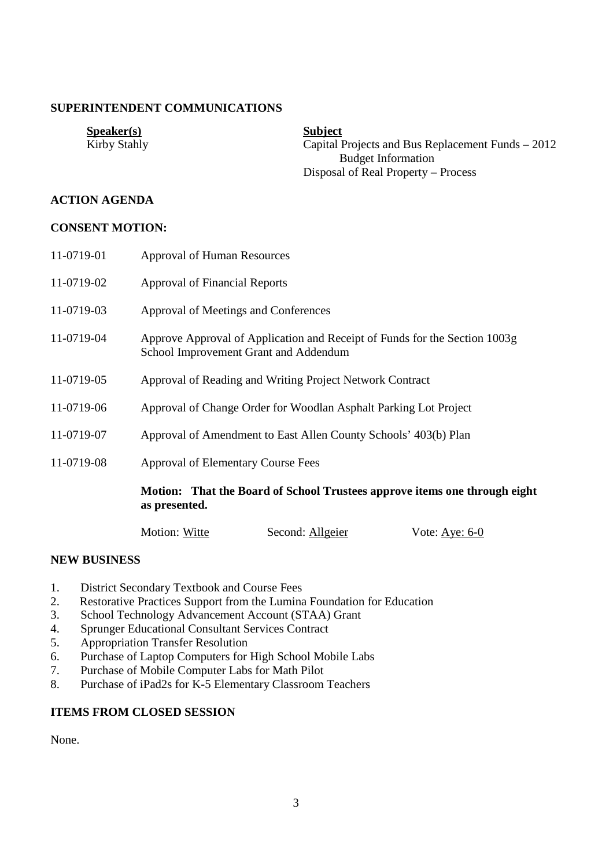## **SUPERINTENDENT COMMUNICATIONS**

| Speaker(s)   | <b>Subject</b>                                    |
|--------------|---------------------------------------------------|
| Kirby Stahly | Capital Projects and Bus Replacement Funds – 2012 |
|              | <b>Budget Information</b>                         |
|              | Disposal of Real Property – Process               |

## **ACTION AGENDA**

#### **CONSENT MOTION:**

| 11-0719-01 | <b>Approval of Human Resources</b>        |                                                                            |                  |
|------------|-------------------------------------------|----------------------------------------------------------------------------|------------------|
| 11-0719-02 | <b>Approval of Financial Reports</b>      |                                                                            |                  |
| 11-0719-03 | Approval of Meetings and Conferences      |                                                                            |                  |
| 11-0719-04 | School Improvement Grant and Addendum     | Approve Approval of Application and Receipt of Funds for the Section 1003g |                  |
| 11-0719-05 |                                           | Approval of Reading and Writing Project Network Contract                   |                  |
| 11-0719-06 |                                           | Approval of Change Order for Woodlan Asphalt Parking Lot Project           |                  |
| 11-0719-07 |                                           | Approval of Amendment to East Allen County Schools' 403(b) Plan            |                  |
| 11-0719-08 | <b>Approval of Elementary Course Fees</b> |                                                                            |                  |
|            | as presented.                             | Motion: That the Board of School Trustees approve items one through eight  |                  |
|            | Motion: Witte                             | Second: Allgeier                                                           | Vote: Aye: $6-0$ |

## **NEW BUSINESS**

- 1. District Secondary Textbook and Course Fees
- 2. Restorative Practices Support from the Lumina Foundation for Education
- 3. School Technology Advancement Account (STAA) Grant
- 4. Sprunger Educational Consultant Services Contract
- 5. Appropriation Transfer Resolution
- 6. Purchase of Laptop Computers for High School Mobile Labs
- 7. Purchase of Mobile Computer Labs for Math Pilot
- 8. Purchase of iPad2s for K-5 Elementary Classroom Teachers

## **ITEMS FROM CLOSED SESSION**

None.